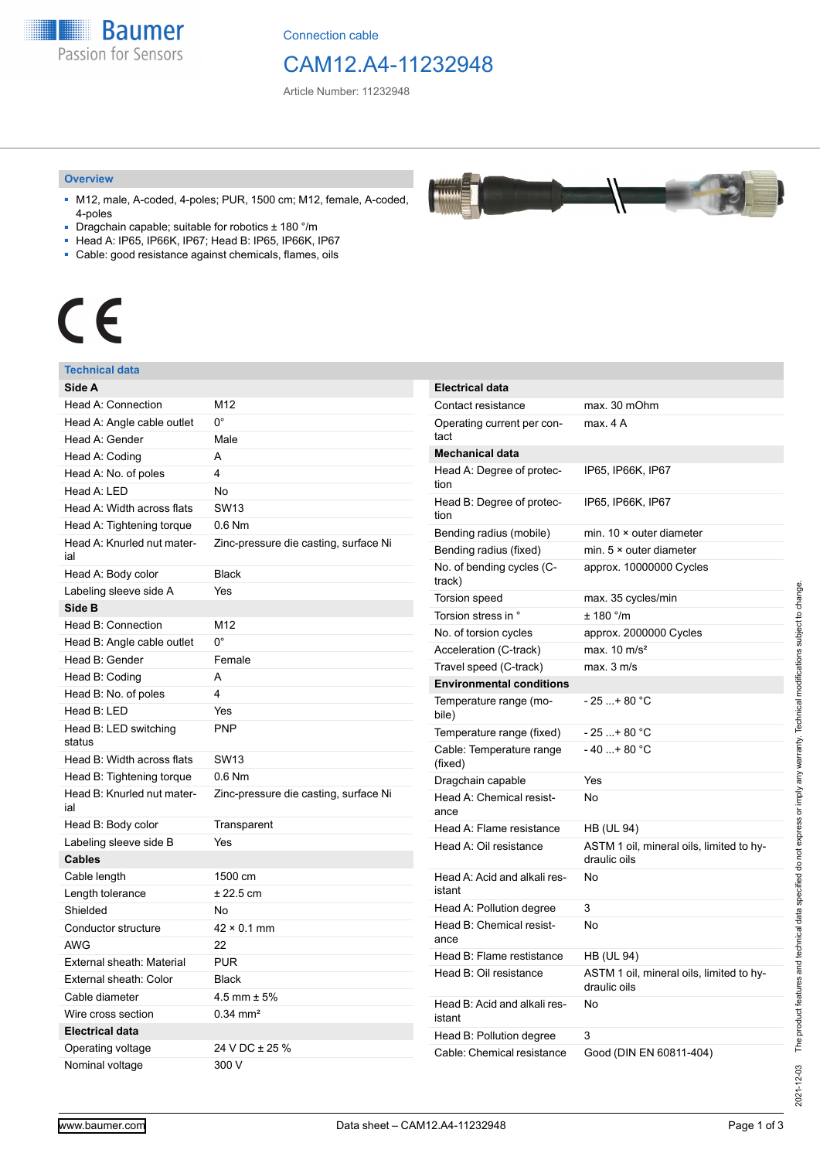

Connection cable

# CAM12.A4-11232948

بمعمعد

Article Number: 11232948

#### **Overview**

- M12, male, A-coded, 4-poles; PUR, 1500 cm; M12, female, A-coded, 4-poles
- Dragchain capable; suitable for robotics ± 180 °/m
- Head A: IP65, IP66K, IP67; Head B: IP65, IP66K, IP67
- Cable: good resistance against chemicals, flames, oils

# $\epsilon$

#### **Technical data**

| Side A                            |                                       |
|-----------------------------------|---------------------------------------|
| Head A: Connection                | M12                                   |
| Head A: Angle cable outlet        | $0^{\circ}$                           |
| Head A: Gender                    | Male                                  |
| Head A: Coding                    | А                                     |
| Head A: No. of poles              | 4                                     |
| Head A: LED                       | N <sub>o</sub>                        |
| Head A: Width across flats        | <b>SW13</b>                           |
| Head A: Tightening torque         | $0.6$ Nm                              |
| Head A: Knurled nut mater-<br>ial | Zinc-pressure die casting, surface Ni |
| Head A: Body color                | <b>Black</b>                          |
| Labeling sleeve side A            | Yes                                   |
| Side B                            |                                       |
| Head B: Connection                | M <sub>12</sub>                       |
| Head B: Angle cable outlet        | 0°                                    |
| Head B: Gender                    | Female                                |
| Head B: Coding                    | A                                     |
| Head B: No. of poles              | 4                                     |
| Head B: LED                       | Yes                                   |
| Head B: LED switching<br>status   | <b>PNP</b>                            |
| Head B: Width across flats        | <b>SW13</b>                           |
| Head B: Tightening torque         | $0.6$ Nm                              |
| Head B: Knurled nut mater-<br>ial | Zinc-pressure die casting, surface Ni |
| Head B: Body color                | Transparent                           |
| Labeling sleeve side B            | Yes                                   |
| <b>Cables</b>                     |                                       |
| Cable length                      | 1500 cm                               |
| Length tolerance                  | $± 22.5$ cm                           |
| Shielded                          | No                                    |
| Conductor structure               | $42 \times 0.1$ mm                    |
| AWG                               | 22                                    |
| External sheath: Material         | <b>PUR</b>                            |
| External sheath: Color            | Black                                 |
| Cable diameter                    | 4.5 mm $\pm$ 5%                       |
| Wire cross section                | $0.34 \, \text{mm}^2$                 |
| <b>Electrical data</b>            |                                       |
| Operating voltage                 | 24 V DC ± 25 %                        |
| Nominal voltage                   | 300 V                                 |

| <b>Electrical data</b>                 |                                                          |
|----------------------------------------|----------------------------------------------------------|
| Contact resistance                     | max. 30 mOhm                                             |
| Operating current per con-<br>tact     | max. 4 A                                                 |
| <b>Mechanical data</b>                 |                                                          |
| Head A: Degree of protec-<br>tion      | IP65, IP66K, IP67                                        |
| Head B: Degree of protec-<br>tion      | IP65, IP66K, IP67                                        |
| Bending radius (mobile)                | min. $10 \times$ outer diameter                          |
| Bending radius (fixed)                 | min. $5 \times$ outer diameter                           |
| No. of bending cycles (C-<br>track)    | approx. 10000000 Cycles                                  |
| <b>Torsion speed</b>                   | max. 35 cycles/min                                       |
| Torsion stress in °                    | $± 180$ °/m                                              |
| No. of torsion cycles                  | approx. 2000000 Cycles                                   |
| Acceleration (C-track)                 | max. $10 \text{ m/s}^2$                                  |
| Travel speed (C-track)                 | max. 3 m/s                                               |
| <b>Environmental conditions</b>        |                                                          |
| Temperature range (mo-<br>bile)        | $-25$ + 80 °C                                            |
| Temperature range (fixed)              | - 25 + 80 °C                                             |
| Cable: Temperature range<br>(fixed)    | $-40+80 °C$                                              |
| Dragchain capable                      | Yes                                                      |
| Head A: Chemical resist-<br>ance       | No                                                       |
| Head A: Flame resistance               | <b>HB (UL 94)</b>                                        |
| Head A: Oil resistance                 | ASTM 1 oil, mineral oils, limited to hy-<br>draulic oils |
| Head A: Acid and alkali res-<br>istant | No                                                       |
| Head A: Pollution degree               | 3                                                        |
| Head B: Chemical resist-<br>ance       | No                                                       |
| Head B: Flame restistance              | HB (UL 94)                                               |
| Head B: Oil resistance                 | ASTM 1 oil, mineral oils, limited to hy-<br>draulic oils |
| Head B: Acid and alkali res-<br>istant | No                                                       |
| Head B: Pollution degree               | 3                                                        |
| Cable: Chemical resistance             | Good (DIN EN 60811-404)                                  |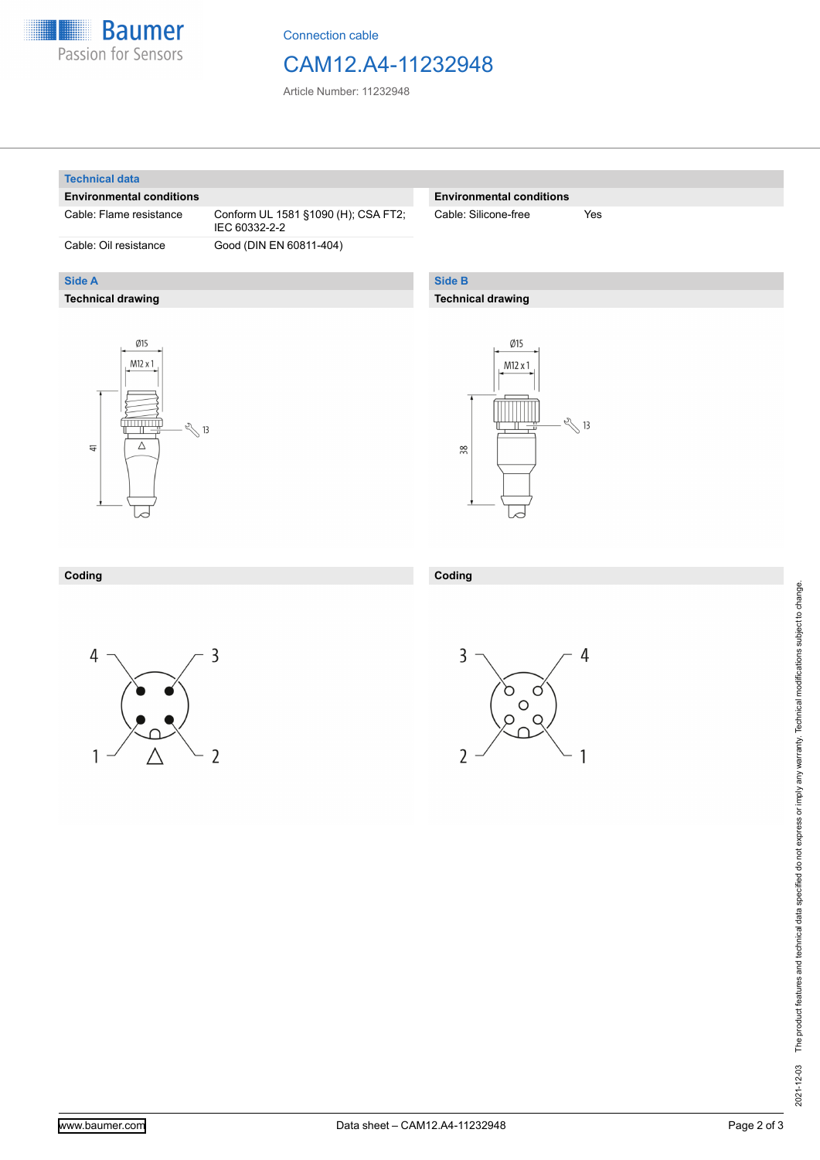

Connection cable

### CAM12.A4-11232948

Article Number: 11232948

#### **Technical data**

**Side A**

#### **Environmental conditions**

Cable: Flame resistance Conform UL 1581 §1090 (H); CSA FT2;

**Technical drawing**

IEC 60332-2-2 Cable: Oil resistance Good (DIN EN 60811-404)

#### **Environmental conditions**

Cable: Silicone-free Yes

#### **Side B**

**Coding**

#### **Technical drawing**





#### **Coding**